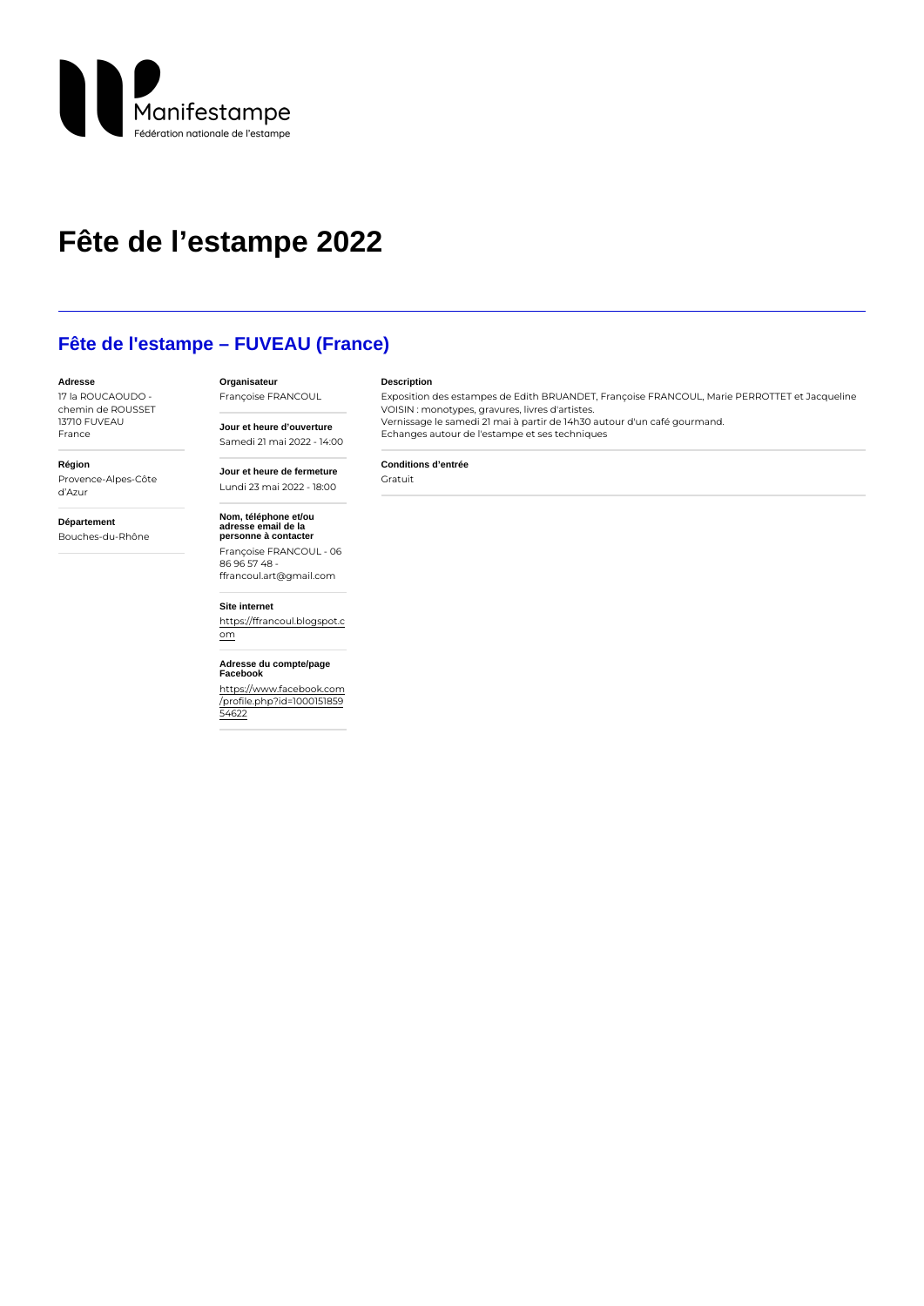# Fête de l'estampe 2022

## Fête de l'estampe – FUVEAU (France)

Organisateur

Jour et heure d'ouverture

Jour et heure de fermeture

#### Adresse

17 la ROUCAOUDO chemin de ROUSSET 1371 FOUVE A U

### Description

Conditions d'entrée

Françoise FRANCOUL Exposition des estampes de Edith BRUANDET, Françoise FRANCOUL, Marie PERR

Vernissage le samedi 21 mai à partir de 14h30 autour d'un café gourmand.

VOISIN : monotypes, gravures, livres d'artistes.

Echanges autour de l'estampe et ses techniques

France

### Région Provence-Alpes-Côte

d Azur

Département Bouches-du-Rhône

Nom, téléphone et/ou adresse email de la personne à contacter Françoise FRANCOUL - 06 86 96 57 48 ffrancoul.art@gmail.com

Samedi 21 mai 2022 - 14:00

Lundi 23 mai 2022 - 18:00 Gratuit

Site internet [https://ffrancoul.bl](https://ffrancoul.blogspot.com)ogspot.c  $\underline{\circ m}$ 

Adresse du compte/page Facebook

[https://www.facebo](https://www.facebook.com/profile.php?id=100015185954622)ok.com [/profile.php?id=10](https://www.facebook.com/profile.php?id=100015185954622)00151859 [5462](https://www.facebook.com/profile.php?id=100015185954622)2